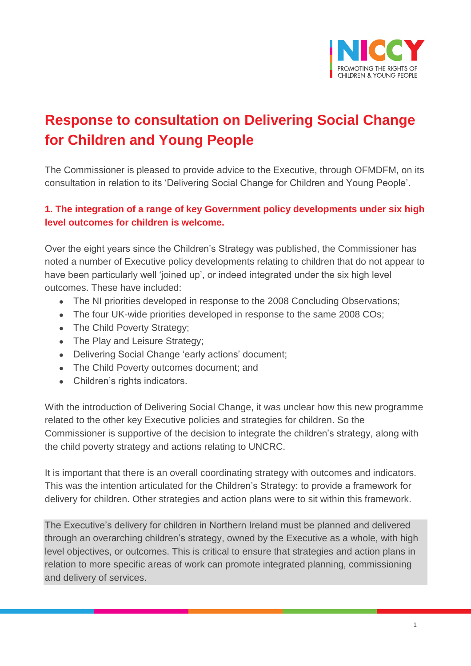

# **Response to consultation on Delivering Social Change for Children and Young People**

The Commissioner is pleased to provide advice to the Executive, through OFMDFM, on its consultation in relation to its 'Delivering Social Change for Children and Young People'.

#### **1. The integration of a range of key Government policy developments under six high level outcomes for children is welcome.**

Over the eight years since the Children's Strategy was published, the Commissioner has noted a number of Executive policy developments relating to children that do not appear to have been particularly well 'joined up', or indeed integrated under the six high level outcomes. These have included:

- The NI priorities developed in response to the 2008 Concluding Observations;
- The four UK-wide priorities developed in response to the same 2008 COs;
- The Child Poverty Strategy;
- The Play and Leisure Strategy;
- Delivering Social Change 'early actions' document;
- The Child Poverty outcomes document; and
- Children's rights indicators.

With the introduction of Delivering Social Change, it was unclear how this new programme related to the other key Executive policies and strategies for children. So the Commissioner is supportive of the decision to integrate the children's strategy, along with the child poverty strategy and actions relating to UNCRC.

It is important that there is an overall coordinating strategy with outcomes and indicators. This was the intention articulated for the Children's Strategy: to provide a framework for delivery for children. Other strategies and action plans were to sit within this framework.

The Executive's delivery for children in Northern Ireland must be planned and delivered through an overarching children's strategy, owned by the Executive as a whole, with high level objectives, or outcomes. This is critical to ensure that strategies and action plans in relation to more specific areas of work can promote integrated planning, commissioning and delivery of services.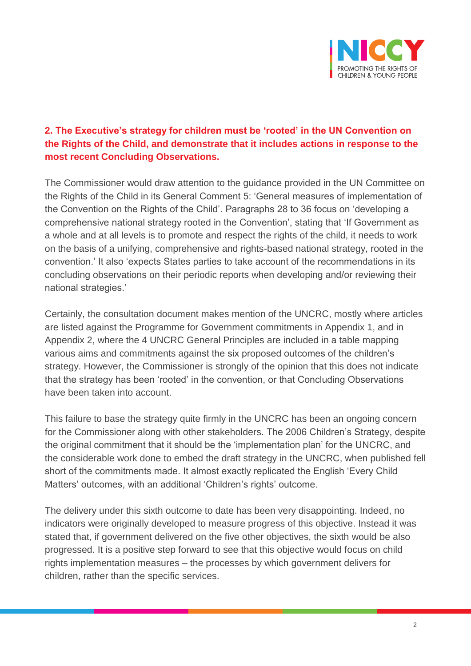

# **2. The Executive's strategy for children must be 'rooted' in the UN Convention on the Rights of the Child, and demonstrate that it includes actions in response to the most recent Concluding Observations.**

The Commissioner would draw attention to the guidance provided in the UN Committee on the Rights of the Child in its General Comment 5: 'General measures of implementation of the Convention on the Rights of the Child'. Paragraphs 28 to 36 focus on 'developing a comprehensive national strategy rooted in the Convention', stating that 'If Government as a whole and at all levels is to promote and respect the rights of the child, it needs to work on the basis of a unifying, comprehensive and rights-based national strategy, rooted in the convention.' It also 'expects States parties to take account of the recommendations in its concluding observations on their periodic reports when developing and/or reviewing their national strategies.'

Certainly, the consultation document makes mention of the UNCRC, mostly where articles are listed against the Programme for Government commitments in Appendix 1, and in Appendix 2, where the 4 UNCRC General Principles are included in a table mapping various aims and commitments against the six proposed outcomes of the children's strategy. However, the Commissioner is strongly of the opinion that this does not indicate that the strategy has been 'rooted' in the convention, or that Concluding Observations have been taken into account.

This failure to base the strategy quite firmly in the UNCRC has been an ongoing concern for the Commissioner along with other stakeholders. The 2006 Children's Strategy, despite the original commitment that it should be the 'implementation plan' for the UNCRC, and the considerable work done to embed the draft strategy in the UNCRC, when published fell short of the commitments made. It almost exactly replicated the English 'Every Child Matters' outcomes, with an additional 'Children's rights' outcome.

The delivery under this sixth outcome to date has been very disappointing. Indeed, no indicators were originally developed to measure progress of this objective. Instead it was stated that, if government delivered on the five other objectives, the sixth would be also progressed. It is a positive step forward to see that this objective would focus on child rights implementation measures – the processes by which government delivers for children, rather than the specific services.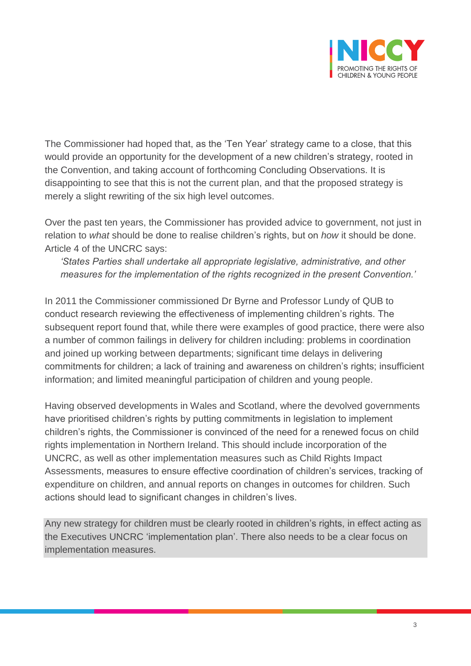

The Commissioner had hoped that, as the 'Ten Year' strategy came to a close, that this would provide an opportunity for the development of a new children's strategy, rooted in the Convention, and taking account of forthcoming Concluding Observations. It is disappointing to see that this is not the current plan, and that the proposed strategy is merely a slight rewriting of the six high level outcomes.

Over the past ten years, the Commissioner has provided advice to government, not just in relation to *what* should be done to realise children's rights, but on *how* it should be done. Article 4 of the UNCRC says:

*'States Parties shall undertake all appropriate legislative, administrative, and other measures for the implementation of the rights recognized in the present Convention.'*

In 2011 the Commissioner commissioned Dr Byrne and Professor Lundy of QUB to conduct research reviewing the effectiveness of implementing children's rights. The subsequent report found that, while there were examples of good practice, there were also a number of common failings in delivery for children including: problems in coordination and joined up working between departments; significant time delays in delivering commitments for children; a lack of training and awareness on children's rights; insufficient information; and limited meaningful participation of children and young people.

Having observed developments in Wales and Scotland, where the devolved governments have prioritised children's rights by putting commitments in legislation to implement children's rights, the Commissioner is convinced of the need for a renewed focus on child rights implementation in Northern Ireland. This should include incorporation of the UNCRC, as well as other implementation measures such as Child Rights Impact Assessments, measures to ensure effective coordination of children's services, tracking of expenditure on children, and annual reports on changes in outcomes for children. Such actions should lead to significant changes in children's lives.

Any new strategy for children must be clearly rooted in children's rights, in effect acting as the Executives UNCRC 'implementation plan'. There also needs to be a clear focus on implementation measures.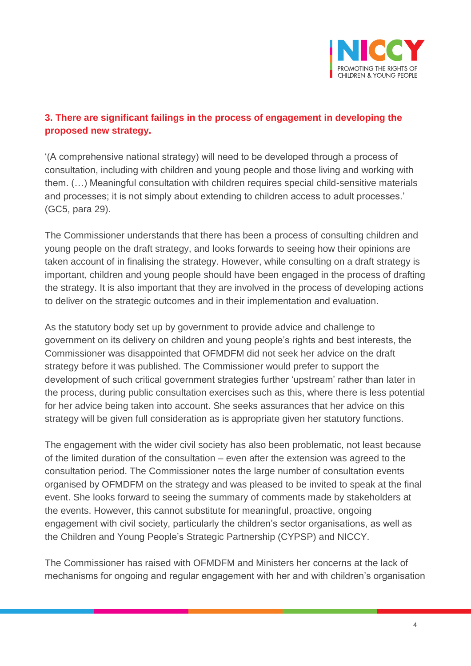

# **3. There are significant failings in the process of engagement in developing the proposed new strategy.**

'(A comprehensive national strategy) will need to be developed through a process of consultation, including with children and young people and those living and working with them. (…) Meaningful consultation with children requires special child-sensitive materials and processes; it is not simply about extending to children access to adult processes.' (GC5, para 29).

The Commissioner understands that there has been a process of consulting children and young people on the draft strategy, and looks forwards to seeing how their opinions are taken account of in finalising the strategy. However, while consulting on a draft strategy is important, children and young people should have been engaged in the process of drafting the strategy. It is also important that they are involved in the process of developing actions to deliver on the strategic outcomes and in their implementation and evaluation.

As the statutory body set up by government to provide advice and challenge to government on its delivery on children and young people's rights and best interests, the Commissioner was disappointed that OFMDFM did not seek her advice on the draft strategy before it was published. The Commissioner would prefer to support the development of such critical government strategies further 'upstream' rather than later in the process, during public consultation exercises such as this, where there is less potential for her advice being taken into account. She seeks assurances that her advice on this strategy will be given full consideration as is appropriate given her statutory functions.

The engagement with the wider civil society has also been problematic, not least because of the limited duration of the consultation – even after the extension was agreed to the consultation period. The Commissioner notes the large number of consultation events organised by OFMDFM on the strategy and was pleased to be invited to speak at the final event. She looks forward to seeing the summary of comments made by stakeholders at the events. However, this cannot substitute for meaningful, proactive, ongoing engagement with civil society, particularly the children's sector organisations, as well as the Children and Young People's Strategic Partnership (CYPSP) and NICCY.

The Commissioner has raised with OFMDFM and Ministers her concerns at the lack of mechanisms for ongoing and regular engagement with her and with children's organisation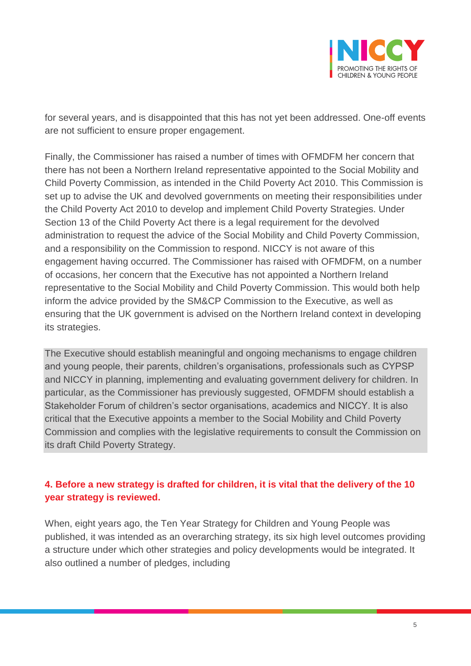

for several years, and is disappointed that this has not yet been addressed. One-off events are not sufficient to ensure proper engagement.

Finally, the Commissioner has raised a number of times with OFMDFM her concern that there has not been a Northern Ireland representative appointed to the Social Mobility and Child Poverty Commission, as intended in the Child Poverty Act 2010. This Commission is set up to advise the UK and devolved governments on meeting their responsibilities under the Child Poverty Act 2010 to develop and implement Child Poverty Strategies. Under Section 13 of the Child Poverty Act there is a legal requirement for the devolved administration to request the advice of the Social Mobility and Child Poverty Commission, and a responsibility on the Commission to respond. NICCY is not aware of this engagement having occurred. The Commissioner has raised with OFMDFM, on a number of occasions, her concern that the Executive has not appointed a Northern Ireland representative to the Social Mobility and Child Poverty Commission. This would both help inform the advice provided by the SM&CP Commission to the Executive, as well as ensuring that the UK government is advised on the Northern Ireland context in developing its strategies.

The Executive should establish meaningful and ongoing mechanisms to engage children and young people, their parents, children's organisations, professionals such as CYPSP and NICCY in planning, implementing and evaluating government delivery for children. In particular, as the Commissioner has previously suggested, OFMDFM should establish a Stakeholder Forum of children's sector organisations, academics and NICCY. It is also critical that the Executive appoints a member to the Social Mobility and Child Poverty Commission and complies with the legislative requirements to consult the Commission on its draft Child Poverty Strategy.

### **4. Before a new strategy is drafted for children, it is vital that the delivery of the 10 year strategy is reviewed.**

When, eight years ago, the Ten Year Strategy for Children and Young People was published, it was intended as an overarching strategy, its six high level outcomes providing a structure under which other strategies and policy developments would be integrated. It also outlined a number of pledges, including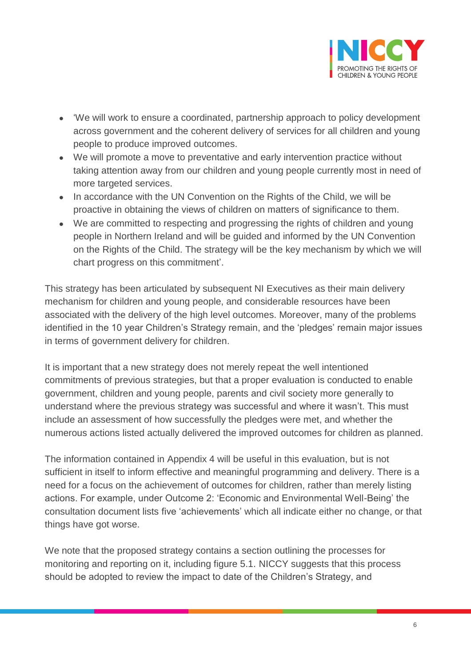

- 'We will work to ensure a coordinated, partnership approach to policy development across government and the coherent delivery of services for all children and young people to produce improved outcomes.
- We will promote a move to preventative and early intervention practice without taking attention away from our children and young people currently most in need of more targeted services.
- In accordance with the UN Convention on the Rights of the Child, we will be proactive in obtaining the views of children on matters of significance to them.
- We are committed to respecting and progressing the rights of children and young people in Northern Ireland and will be guided and informed by the UN Convention on the Rights of the Child. The strategy will be the key mechanism by which we will chart progress on this commitment'.

This strategy has been articulated by subsequent NI Executives as their main delivery mechanism for children and young people, and considerable resources have been associated with the delivery of the high level outcomes. Moreover, many of the problems identified in the 10 year Children's Strategy remain, and the 'pledges' remain major issues in terms of government delivery for children.

It is important that a new strategy does not merely repeat the well intentioned commitments of previous strategies, but that a proper evaluation is conducted to enable government, children and young people, parents and civil society more generally to understand where the previous strategy was successful and where it wasn't. This must include an assessment of how successfully the pledges were met, and whether the numerous actions listed actually delivered the improved outcomes for children as planned.

The information contained in Appendix 4 will be useful in this evaluation, but is not sufficient in itself to inform effective and meaningful programming and delivery. There is a need for a focus on the achievement of outcomes for children, rather than merely listing actions. For example, under Outcome 2: 'Economic and Environmental Well-Being' the consultation document lists five 'achievements' which all indicate either no change, or that things have got worse.

We note that the proposed strategy contains a section outlining the processes for monitoring and reporting on it, including figure 5.1. NICCY suggests that this process should be adopted to review the impact to date of the Children's Strategy, and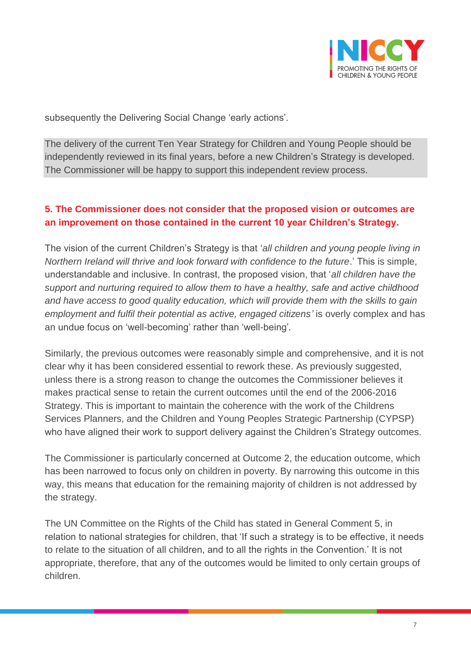

subsequently the Delivering Social Change 'early actions'.

The delivery of the current Ten Year Strategy for Children and Young People should be independently reviewed in its final years, before a new Children's Strategy is developed. The Commissioner will be happy to support this independent review process.

### **5. The Commissioner does not consider that the proposed vision or outcomes are an improvement on those contained in the current 10 year Children's Strategy.**

The vision of the current Children's Strategy is that '*all children and young people living in Northern Ireland will thrive and look forward with confidence to the future*.' This is simple, understandable and inclusive. In contrast, the proposed vision, that '*all children have the support and nurturing required to allow them to have a healthy, safe and active childhood and have access to good quality education, which will provide them with the skills to gain employment and fulfil their potential as active, engaged citizens'* is overly complex and has an undue focus on 'well-becoming' rather than 'well-being'*.*

Similarly, the previous outcomes were reasonably simple and comprehensive, and it is not clear why it has been considered essential to rework these. As previously suggested, unless there is a strong reason to change the outcomes the Commissioner believes it makes practical sense to retain the current outcomes until the end of the 2006-2016 Strategy. This is important to maintain the coherence with the work of the Childrens Services Planners, and the Children and Young Peoples Strategic Partnership (CYPSP) who have aligned their work to support delivery against the Children's Strategy outcomes.

The Commissioner is particularly concerned at Outcome 2, the education outcome, which has been narrowed to focus only on children in poverty. By narrowing this outcome in this way, this means that education for the remaining majority of children is not addressed by the strategy.

The UN Committee on the Rights of the Child has stated in General Comment 5, in relation to national strategies for children, that 'If such a strategy is to be effective, it needs to relate to the situation of all children, and to all the rights in the Convention.' It is not appropriate, therefore, that any of the outcomes would be limited to only certain groups of children.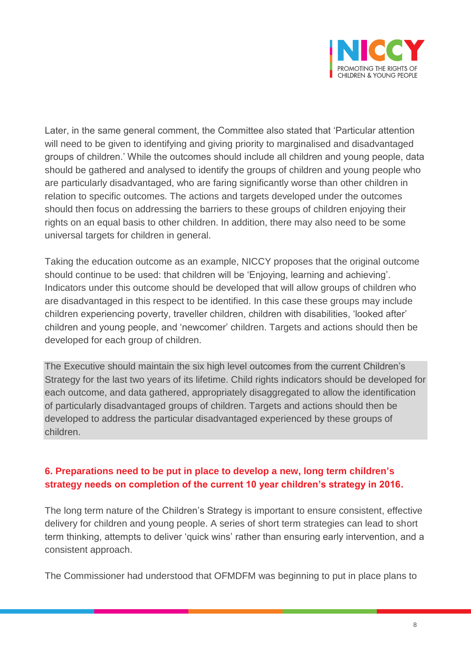

Later, in the same general comment, the Committee also stated that 'Particular attention will need to be given to identifying and giving priority to marginalised and disadvantaged groups of children.' While the outcomes should include all children and young people, data should be gathered and analysed to identify the groups of children and young people who are particularly disadvantaged, who are faring significantly worse than other children in relation to specific outcomes. The actions and targets developed under the outcomes should then focus on addressing the barriers to these groups of children enjoying their rights on an equal basis to other children. In addition, there may also need to be some universal targets for children in general.

Taking the education outcome as an example, NICCY proposes that the original outcome should continue to be used: that children will be 'Enjoying, learning and achieving'. Indicators under this outcome should be developed that will allow groups of children who are disadvantaged in this respect to be identified. In this case these groups may include children experiencing poverty, traveller children, children with disabilities, 'looked after' children and young people, and 'newcomer' children. Targets and actions should then be developed for each group of children.

The Executive should maintain the six high level outcomes from the current Children's Strategy for the last two years of its lifetime. Child rights indicators should be developed for each outcome, and data gathered, appropriately disaggregated to allow the identification of particularly disadvantaged groups of children. Targets and actions should then be developed to address the particular disadvantaged experienced by these groups of children.

### **6. Preparations need to be put in place to develop a new, long term children's strategy needs on completion of the current 10 year children's strategy in 2016.**

The long term nature of the Children's Strategy is important to ensure consistent, effective delivery for children and young people. A series of short term strategies can lead to short term thinking, attempts to deliver 'quick wins' rather than ensuring early intervention, and a consistent approach.

The Commissioner had understood that OFMDFM was beginning to put in place plans to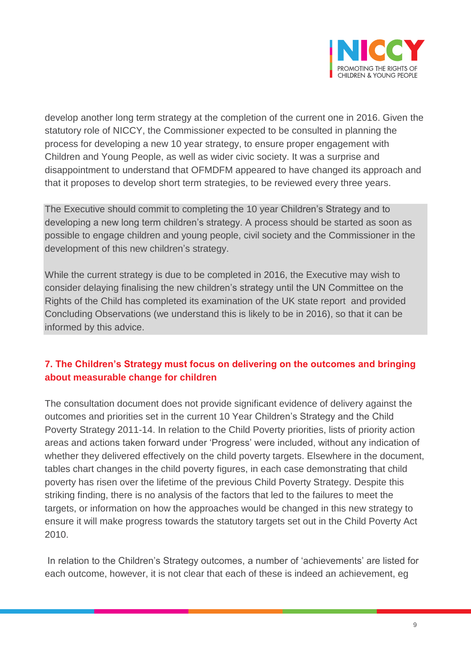

develop another long term strategy at the completion of the current one in 2016. Given the statutory role of NICCY, the Commissioner expected to be consulted in planning the process for developing a new 10 year strategy, to ensure proper engagement with Children and Young People, as well as wider civic society. It was a surprise and disappointment to understand that OFMDFM appeared to have changed its approach and that it proposes to develop short term strategies, to be reviewed every three years.

The Executive should commit to completing the 10 year Children's Strategy and to developing a new long term children's strategy. A process should be started as soon as possible to engage children and young people, civil society and the Commissioner in the development of this new children's strategy.

While the current strategy is due to be completed in 2016, the Executive may wish to consider delaying finalising the new children's strategy until the UN Committee on the Rights of the Child has completed its examination of the UK state report and provided Concluding Observations (we understand this is likely to be in 2016), so that it can be informed by this advice.

### **7. The Children's Strategy must focus on delivering on the outcomes and bringing about measurable change for children**

The consultation document does not provide significant evidence of delivery against the outcomes and priorities set in the current 10 Year Children's Strategy and the Child Poverty Strategy 2011-14. In relation to the Child Poverty priorities, lists of priority action areas and actions taken forward under 'Progress' were included, without any indication of whether they delivered effectively on the child poverty targets. Elsewhere in the document, tables chart changes in the child poverty figures, in each case demonstrating that child poverty has risen over the lifetime of the previous Child Poverty Strategy. Despite this striking finding, there is no analysis of the factors that led to the failures to meet the targets, or information on how the approaches would be changed in this new strategy to ensure it will make progress towards the statutory targets set out in the Child Poverty Act 2010.

In relation to the Children's Strategy outcomes, a number of 'achievements' are listed for each outcome, however, it is not clear that each of these is indeed an achievement, eg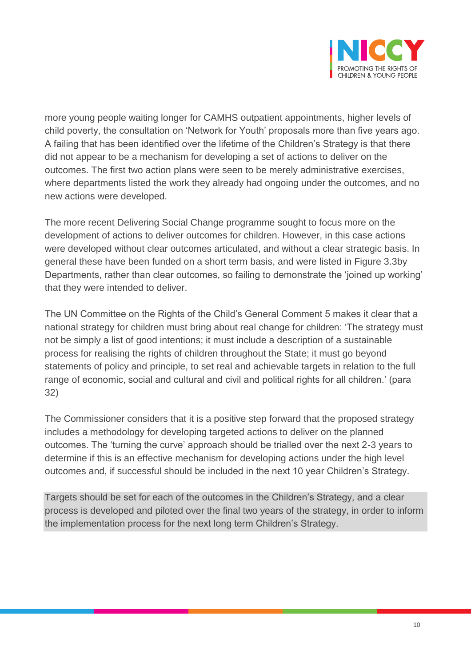

more young people waiting longer for CAMHS outpatient appointments, higher levels of child poverty, the consultation on 'Network for Youth' proposals more than five years ago. A failing that has been identified over the lifetime of the Children's Strategy is that there did not appear to be a mechanism for developing a set of actions to deliver on the outcomes. The first two action plans were seen to be merely administrative exercises, where departments listed the work they already had ongoing under the outcomes, and no new actions were developed.

The more recent Delivering Social Change programme sought to focus more on the development of actions to deliver outcomes for children. However, in this case actions were developed without clear outcomes articulated, and without a clear strategic basis. In general these have been funded on a short term basis, and were listed in Figure 3.3by Departments, rather than clear outcomes, so failing to demonstrate the 'joined up working' that they were intended to deliver.

The UN Committee on the Rights of the Child's General Comment 5 makes it clear that a national strategy for children must bring about real change for children: 'The strategy must not be simply a list of good intentions; it must include a description of a sustainable process for realising the rights of children throughout the State; it must go beyond statements of policy and principle, to set real and achievable targets in relation to the full range of economic, social and cultural and civil and political rights for all children.' (para 32)

The Commissioner considers that it is a positive step forward that the proposed strategy includes a methodology for developing targeted actions to deliver on the planned outcomes. The 'turning the curve' approach should be trialled over the next 2-3 years to determine if this is an effective mechanism for developing actions under the high level outcomes and, if successful should be included in the next 10 year Children's Strategy.

Targets should be set for each of the outcomes in the Children's Strategy, and a clear process is developed and piloted over the final two years of the strategy, in order to inform the implementation process for the next long term Children's Strategy.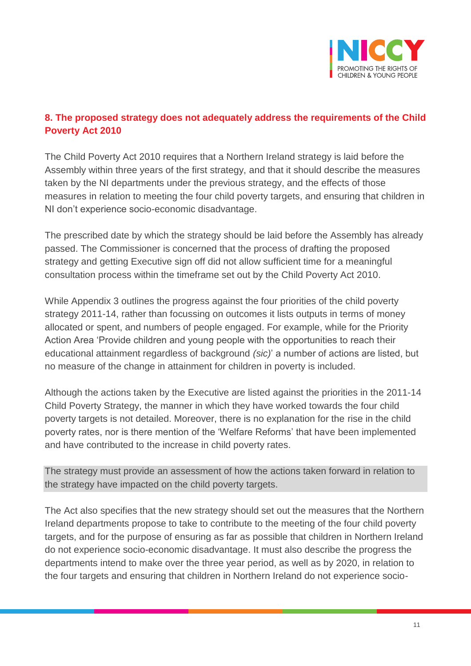

### **8. The proposed strategy does not adequately address the requirements of the Child Poverty Act 2010**

The Child Poverty Act 2010 requires that a Northern Ireland strategy is laid before the Assembly within three years of the first strategy, and that it should describe the measures taken by the NI departments under the previous strategy, and the effects of those measures in relation to meeting the four child poverty targets, and ensuring that children in NI don't experience socio-economic disadvantage.

The prescribed date by which the strategy should be laid before the Assembly has already passed. The Commissioner is concerned that the process of drafting the proposed strategy and getting Executive sign off did not allow sufficient time for a meaningful consultation process within the timeframe set out by the Child Poverty Act 2010.

While Appendix 3 outlines the progress against the four priorities of the child poverty strategy 2011-14, rather than focussing on outcomes it lists outputs in terms of money allocated or spent, and numbers of people engaged. For example, while for the Priority Action Area 'Provide children and young people with the opportunities to reach their educational attainment regardless of background *(sic)*' a number of actions are listed, but no measure of the change in attainment for children in poverty is included.

Although the actions taken by the Executive are listed against the priorities in the 2011-14 Child Poverty Strategy, the manner in which they have worked towards the four child poverty targets is not detailed. Moreover, there is no explanation for the rise in the child poverty rates, nor is there mention of the 'Welfare Reforms' that have been implemented and have contributed to the increase in child poverty rates.

The strategy must provide an assessment of how the actions taken forward in relation to the strategy have impacted on the child poverty targets.

The Act also specifies that the new strategy should set out the measures that the Northern Ireland departments propose to take to contribute to the meeting of the four child poverty targets, and for the purpose of ensuring as far as possible that children in Northern Ireland do not experience socio-economic disadvantage. It must also describe the progress the departments intend to make over the three year period, as well as by 2020, in relation to the four targets and ensuring that children in Northern Ireland do not experience socio-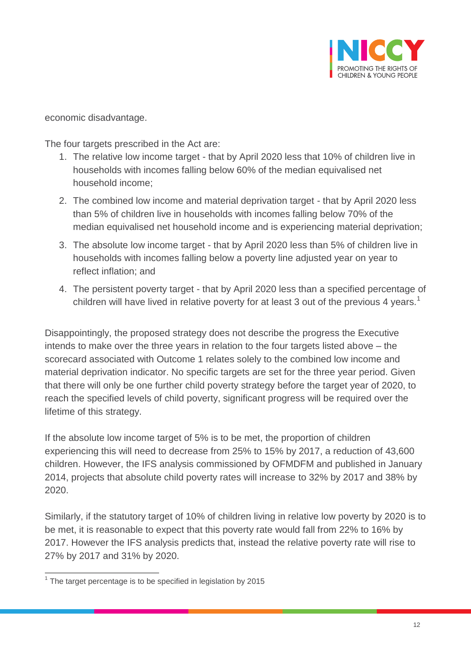

economic disadvantage.

The four targets prescribed in the Act are:

- 1. The relative low income target that by April 2020 less that 10% of children live in households with incomes falling below 60% of the median equivalised net household income;
- 2. The combined low income and material deprivation target that by April 2020 less than 5% of children live in households with incomes falling below 70% of the median equivalised net household income and is experiencing material deprivation;
- 3. The absolute low income target that by April 2020 less than 5% of children live in households with incomes falling below a poverty line adjusted year on year to reflect inflation; and
- 4. The persistent poverty target that by April 2020 less than a specified percentage of children will have lived in relative poverty for at least 3 out of the previous 4 years.<sup>1</sup>

Disappointingly, the proposed strategy does not describe the progress the Executive intends to make over the three years in relation to the four targets listed above – the scorecard associated with Outcome 1 relates solely to the combined low income and material deprivation indicator. No specific targets are set for the three year period. Given that there will only be one further child poverty strategy before the target year of 2020, to reach the specified levels of child poverty, significant progress will be required over the lifetime of this strategy.

If the absolute low income target of 5% is to be met, the proportion of children experiencing this will need to decrease from 25% to 15% by 2017, a reduction of 43,600 children. However, the IFS analysis commissioned by OFMDFM and published in January 2014, projects that absolute child poverty rates will increase to 32% by 2017 and 38% by 2020.

Similarly, if the statutory target of 10% of children living in relative low poverty by 2020 is to be met, it is reasonable to expect that this poverty rate would fall from 22% to 16% by 2017. However the IFS analysis predicts that, instead the relative poverty rate will rise to 27% by 2017 and 31% by 2020.

<sup>1&</sup>lt;br><sup>1</sup> The target percentage is to be specified in legislation by 2015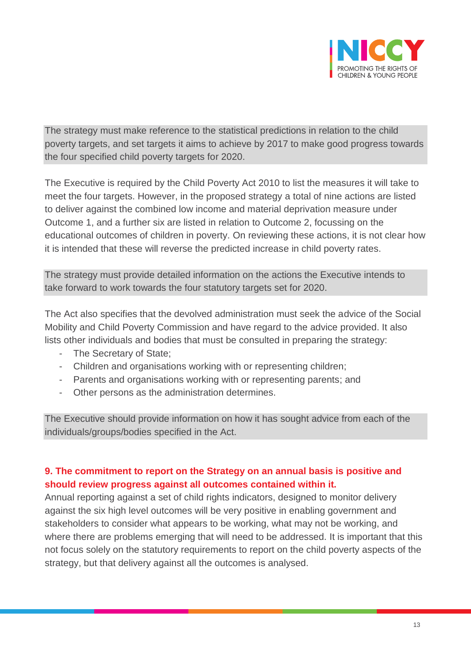

The strategy must make reference to the statistical predictions in relation to the child poverty targets, and set targets it aims to achieve by 2017 to make good progress towards the four specified child poverty targets for 2020.

The Executive is required by the Child Poverty Act 2010 to list the measures it will take to meet the four targets. However, in the proposed strategy a total of nine actions are listed to deliver against the combined low income and material deprivation measure under Outcome 1, and a further six are listed in relation to Outcome 2, focussing on the educational outcomes of children in poverty. On reviewing these actions, it is not clear how it is intended that these will reverse the predicted increase in child poverty rates.

The strategy must provide detailed information on the actions the Executive intends to take forward to work towards the four statutory targets set for 2020.

The Act also specifies that the devolved administration must seek the advice of the Social Mobility and Child Poverty Commission and have regard to the advice provided. It also lists other individuals and bodies that must be consulted in preparing the strategy:

- The Secretary of State;
- Children and organisations working with or representing children;
- Parents and organisations working with or representing parents; and
- Other persons as the administration determines.

The Executive should provide information on how it has sought advice from each of the individuals/groups/bodies specified in the Act.

#### **9. The commitment to report on the Strategy on an annual basis is positive and should review progress against all outcomes contained within it.**

Annual reporting against a set of child rights indicators, designed to monitor delivery against the six high level outcomes will be very positive in enabling government and stakeholders to consider what appears to be working, what may not be working, and where there are problems emerging that will need to be addressed. It is important that this not focus solely on the statutory requirements to report on the child poverty aspects of the strategy, but that delivery against all the outcomes is analysed.